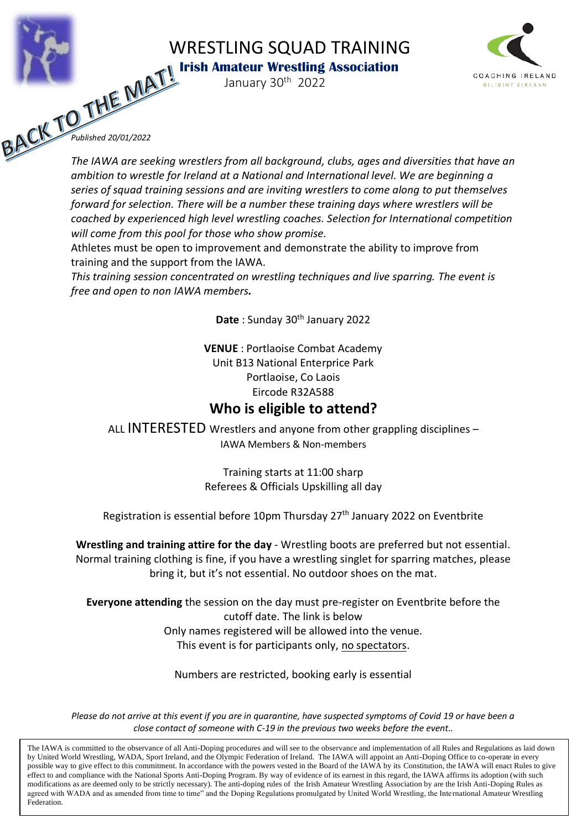WRESTLING SQUAD TRAINING



*I* **Irish Amateur Wrestling Association** January 30<sup>th</sup> 2022



*Published 20/01/2022*

*The IAWA are seeking wrestlers from all background, clubs, ages and diversities that have an ambition to wrestle for Ireland at a National and International level. We are beginning a series of squad training sessions and are inviting wrestlers to come along to put themselves forward for selection. There will be a number these training days where wrestlers will be coached by experienced high level wrestling coaches. Selection for International competition will come from this pool for those who show promise.* 

Athletes must be open to improvement and demonstrate the ability to improve from training and the support from the IAWA.

*This training session concentrated on wrestling techniques and live sparring. The event is free and open to non IAWA members.* 

**Date** : Sunday 30th January 2022

**VENUE** : Portlaoise Combat Academy Unit B13 National Enterprice Park Portlaoise, Co Laois Eircode R32A588

## **Who is eligible to attend?**

ALL INTERESTED Wrestlers and anyone from other grappling disciplines – IAWA Members & Non-members

> Training starts at 11:00 sharp Referees & Officials Upskilling all day

Registration is essential before 10pm Thursday 27<sup>th</sup> January 2022 on Eventbrite

**Wrestling and training attire for the day** - Wrestling boots are preferred but not essential. Normal training clothing is fine, if you have a wrestling singlet for sparring matches, please bring it, but it's not essential. No outdoor shoes on the mat.

**Everyone attending** the session on the day must pre-register on Eventbrite before the cutoff date. The link is below Only names registered will be allowed into the venue. This event is for participants only, no spectators.

Numbers are restricted, booking early is essential

*Please do not arrive at this event if you are in quarantine, have suspected symptoms of Covid 19 or have been a close contact of someone with C-19 in the previous two weeks before the event..*

The IAWA is committed to the observance of all Anti-Doping procedures and will see to the observance and implementation of all Rules and Regulations as laid down by United World Wrestling, WADA, Sport Ireland, and the Olympic Federation of Ireland. The IAWA will appoint an Anti-Doping Office to co-operate in every possible way to give effect to this commitment. In accordance with the powers vested in the Board of the IAWA by its Constitution, the IAWA will enact Rules to give effect to and compliance with the National Sports Anti-Doping Program. By way of evidence of its earnest in this regard, the IAWA affirms its adoption (with such modifications as are deemed only to be strictly necessary). The anti-doping rules of the Irish Amateur Wrestling Association by are the Irish Anti-Doping Rules as agreed with WADA and as amended from time to time" and the Doping Regulations promulgated by United World Wrestling, the International Amateur Wrestling Federation.